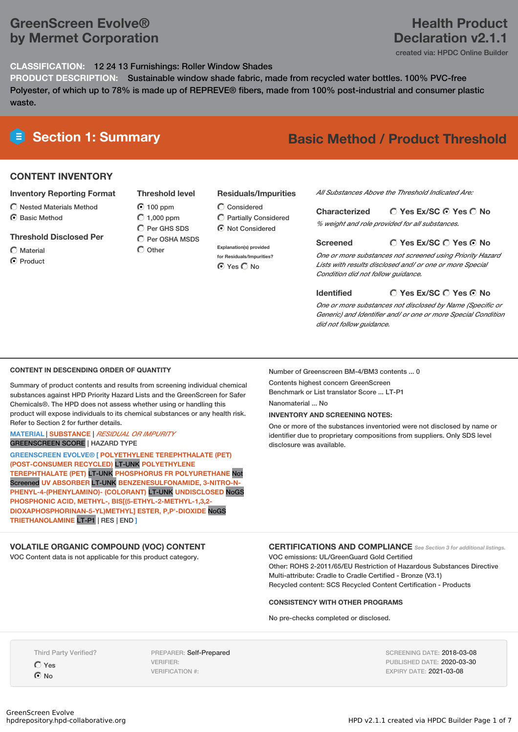# **GreenScreen Evolve® by Mermet Corporation**

## **Health Product Declaration v2.1.1**

created via: HPDC Online Builder

#### **CLASSIFICATION:** 12 24 13 Furnishings: Roller Window Shades

**PRODUCT DESCRIPTION:** Sustainable window shade fabric, made from recycled water bottles. 100% PVC-free Polyester, of which up to 78% is made up of REPREVE® fibers, made from 100% post-industrial and consumer plastic waste.

# **Section 1: Summary Basic Method / Product Threshold**

### **CONTENT INVENTORY**

#### **Inventory Reporting Format**

- $\bigcirc$  Nested Materials Method
- C Rasic Method
- **Threshold Disclosed Per**
- Material
- **O** Product

**Threshold level**  $\odot$  100 ppm  $O$  1,000 ppm C Per GHS SDS

 $\overline{C}$  Per OSHA MSDS  $\bigcap$  Other

#### **Residuals/Impurities**

- 
- **Explanation(s) provided for Residuals/Impurities? O** Yes O No

*All Substances Above the Threshold Indicated Are:*

#### **Yes Ex/SC Yes No Characterized**

*% weight and role provided for all substances.*

#### **Yes Ex/SC Yes No Screened**

*One or more substances not screened using Priority Hazard Lists with results disclosed and/ or one or more Special Condition did not follow guidance.*

#### **Yes Ex/SC Yes No Identified**

*One or more substances not disclosed by Name (Specific or Generic) and Identifier and/ or one or more Special Condition did not follow guidance.*

#### **CONTENT IN DESCENDING ORDER OF QUANTITY**

Summary of product contents and results from screening individual chemical substances against HPD Priority Hazard Lists and the GreenScreen for Safer Chemicals®. The HPD does not assess whether using or handling this product will expose individuals to its chemical substances or any health risk. Refer to Section 2 for further details.

#### **MATERIAL** | **SUBSTANCE** | *RESIDUAL OR IMPURITY* GREENSCREEN SCORE | HAZARD TYPE

**GREENSCREEN EVOLVE® [ POLYETHYLENE TEREPHTHALATE (PET) (POST-CONSUMER RECYCLED)** LT-UNK **POLYETHYLENE TEREPHTHALATE (PET)** LT-UNK **PHOSPHORUS FR POLYURETHANE** Not Screened **UV ABSORBER** LT-UNK **BENZENESULFONAMIDE, 3-NITRO-N-PHENYL-4-(PHENYLAMINO)- (COLORANT)** LT-UNK **UNDISCLOSED** NoGS **PHOSPHONIC ACID, METHYL-, BIS[(5-ETHYL-2-METHYL-1,3,2- DIOXAPHOSPHORINAN-5-YL)METHYL] ESTER, P,P'-DIOXIDE** NoGS **TRIETHANOLAMINE** LT-P1 | RES | END **]**

**VOLATILE ORGANIC COMPOUND (VOC) CONTENT** VOC Content data is not applicable for this product category.

Number of Greenscreen BM-4/BM3 contents ... 0

Contents highest concern GreenScreen Benchmark or List translator Score ... LT-P1

Nanomaterial ... No

#### **INVENTORY AND SCREENING NOTES:**

One or more of the substances inventoried were not disclosed by name or identifier due to proprietary compositions from suppliers. Only SDS level disclosure was available.

#### **CERTIFICATIONS AND COMPLIANCE** *See Section <sup>3</sup> for additional listings.*

VOC emissions: UL/GreenGuard Gold Certified Other: ROHS 2-2011/65/EU Restriction of Hazardous Substances Directive Multi-attribute: Cradle to Cradle Certified - Bronze (V3.1) Recycled content: SCS Recycled Content Certification - Products

#### **CONSISTENCY WITH OTHER PROGRAMS**

No pre-checks completed or disclosed.

Third Party Verified?

 $\bigcap$  Yes **O** No

PREPARER: Self-Prepared VERIFIER: VERIFICATION #:

SCREENING DATE: 2018-03-08 PUBLISHED DATE: 2020-03-30 EXPIRY DATE: 2021-03-08

Considered Partially Considered

 $\bigcirc$  Not Considered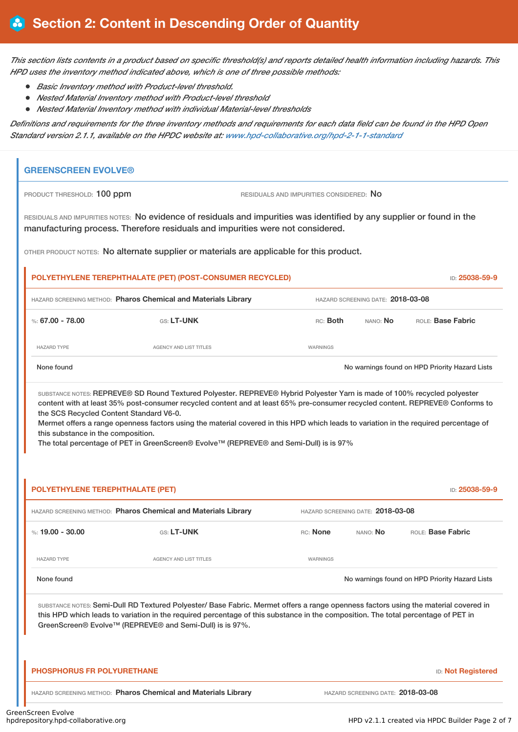This section lists contents in a product based on specific threshold(s) and reports detailed health information including hazards. This *HPD uses the inventory method indicated above, which is one of three possible methods:*

- *Basic Inventory method with Product-level threshold.*
- *Nested Material Inventory method with Product-level threshold*
- *Nested Material Inventory method with individual Material-level thresholds*

Definitions and requirements for the three inventory methods and requirements for each data field can be found in the HPD Open *Standard version 2.1.1, available on the HPDC website at: [www.hpd-collaborative.org/hpd-2-1-1-standard](https://www.hpd-collaborative.org/hpd-2-1-1-standard)*

## **GREENSCREEN EVOLVE®**

PRODUCT THRESHOLD: 100 ppm **RESIDUALS AND IMPURITIES CONSIDERED:** No

RESIDUALS AND IMPURITIES NOTES: No evidence of residuals and impurities was identified by any supplier or found in the manufacturing process. Therefore residuals and impurities were not considered.

OTHER PRODUCT NOTES: No alternate supplier or materials are applicable for this product.

# **POLYETHYLENE TEREPHTHALATE (PET) (POST-CONSUMER RECYCLED)** ID: **25038-59-9** HAZARD SCREENING METHOD: **Pharos Chemical and Materials Library** HAZARD SCREENING DATE: **2018-03-08** %: **67.00 - 78.00** GS: **LT-UNK** RC: **Both** NANO: **No** ROLE: **Base Fabric** HAZARD TYPE THE RESERVED ON AGENCY AND LIST TITLES THE RESERVED ON A MARNINGS

None found Now are found to the priority Hazard Lists on the Movement on HPD Priority Hazard Lists

SUBSTANCE NOTES: REPREVE® SD Round Textured Polyester. REPREVE® Hybrid Polyester Yarn is made of 100% recycled polyester content with at least 35% post-consumer recycled content and at least 65% pre-consumer recycled content. REPREVE® Conforms to the SCS Recycled Content Standard V6-0.

Mermet offers a range openness factors using the material covered in this HPD which leads to variation in the required percentage of this substance in the composition.

The total percentage of PET in GreenScreen® Evolve™ (REPREVE® and Semi-Dull) is is 97%

| POLYETHYLENE TEREPHTHALATE (PET)<br>ID: 25038-59-9                                                                                                                                                                                                                                                                                   |                                                                |                 |                                   |                                                |  |  |
|--------------------------------------------------------------------------------------------------------------------------------------------------------------------------------------------------------------------------------------------------------------------------------------------------------------------------------------|----------------------------------------------------------------|-----------------|-----------------------------------|------------------------------------------------|--|--|
| HAZARD SCREENING METHOD: Pharos Chemical and Materials Library                                                                                                                                                                                                                                                                       |                                                                |                 | HAZARD SCREENING DATE: 2018-03-08 |                                                |  |  |
| %: $19.00 - 30.00$                                                                                                                                                                                                                                                                                                                   | GS: LT-UNK                                                     | <b>RC:</b> None | NANO: <b>No</b>                   | <b>BOLE: Base Fabric</b>                       |  |  |
| <b>HAZARD TYPE</b>                                                                                                                                                                                                                                                                                                                   | <b>AGENCY AND LIST TITLES</b>                                  | WARNINGS        |                                   |                                                |  |  |
| None found                                                                                                                                                                                                                                                                                                                           |                                                                |                 |                                   | No warnings found on HPD Priority Hazard Lists |  |  |
| SUBSTANCE NOTES: Semi-Dull RD Textured Polyester/ Base Fabric. Mermet offers a range openness factors using the material covered in<br>this HPD which leads to variation in the required percentage of this substance in the composition. The total percentage of PET in<br>GreenScreen® Evolve™ (REPREVE® and Semi-Dull) is is 97%. |                                                                |                 |                                   |                                                |  |  |
| <b>PHOSPHORUS FR POLYURETHANE</b>                                                                                                                                                                                                                                                                                                    |                                                                |                 |                                   | <b>ID: Not Registered</b>                      |  |  |
|                                                                                                                                                                                                                                                                                                                                      | HAZARD SCREENING METHOD: Pharos Chemical and Materials Library |                 | HAZARD SCREENING DATE: 2018-03-08 |                                                |  |  |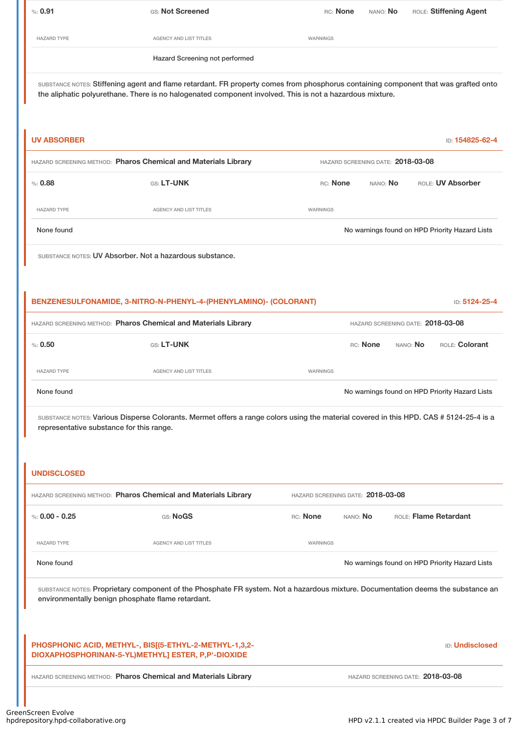| $\%: 0.91$                                                                                                                                                                                                                                      | GS: Not Screened               | RC: None | nano: <b>No</b> | ROLE: Stiffening Agent |  |
|-------------------------------------------------------------------------------------------------------------------------------------------------------------------------------------------------------------------------------------------------|--------------------------------|----------|-----------------|------------------------|--|
| <b>HAZARD TYPE</b>                                                                                                                                                                                                                              | AGENCY AND LIST TITLES         | WARNINGS |                 |                        |  |
|                                                                                                                                                                                                                                                 | Hazard Screening not performed |          |                 |                        |  |
| SUBSTANCE NOTES: Stiffening agent and flame retardant. FR property comes from phosphorus containing component that was grafted onto<br>the aliphatic polyurethane. There is no halogenated component involved. This is not a hazardous mixture. |                                |          |                 |                        |  |

| <b>UV ABSORBER</b>                                                                                  |                                                                                                                                                                                       |                                   |          | ID: 154825-62-4                                |
|-----------------------------------------------------------------------------------------------------|---------------------------------------------------------------------------------------------------------------------------------------------------------------------------------------|-----------------------------------|----------|------------------------------------------------|
| HAZARD SCREENING METHOD: Pharos Chemical and Materials Library<br>HAZARD SCREENING DATE: 2018-03-08 |                                                                                                                                                                                       |                                   |          |                                                |
| % : 0.88                                                                                            | GS: LT-UNK                                                                                                                                                                            | RC: None                          | NANO: No | ROLE: UV Absorber                              |
| <b>HAZARD TYPE</b>                                                                                  | AGENCY AND LIST TITLES                                                                                                                                                                | WARNINGS                          |          |                                                |
| None found                                                                                          |                                                                                                                                                                                       |                                   |          | No warnings found on HPD Priority Hazard Lists |
|                                                                                                     | SUBSTANCE NOTES: UV Absorber. Not a hazardous substance.                                                                                                                              |                                   |          |                                                |
|                                                                                                     |                                                                                                                                                                                       |                                   |          |                                                |
|                                                                                                     | BENZENESULFONAMIDE, 3-NITRO-N-PHENYL-4-(PHENYLAMINO)- (COLORANT)                                                                                                                      |                                   |          | ID: 5124-25-4                                  |
|                                                                                                     | HAZARD SCREENING METHOD: Pharos Chemical and Materials Library                                                                                                                        |                                   |          | HAZARD SCREENING DATE: 2018-03-08              |
| %: 0.50                                                                                             | GS: LT-UNK                                                                                                                                                                            |                                   | RC: None | ROLE: Colorant<br>NANO: No                     |
| <b>HAZARD TYPE</b>                                                                                  | AGENCY AND LIST TITLES                                                                                                                                                                | WARNINGS                          |          |                                                |
| None found                                                                                          |                                                                                                                                                                                       |                                   |          | No warnings found on HPD Priority Hazard Lists |
| representative substance for this range.                                                            | SUBSTANCE NOTES: Various Disperse Colorants. Mermet offers a range colors using the material covered in this HPD. CAS # 5124-25-4 is a                                                |                                   |          |                                                |
| <b>UNDISCLOSED</b>                                                                                  |                                                                                                                                                                                       |                                   |          |                                                |
|                                                                                                     | HAZARD SCREENING METHOD: Pharos Chemical and Materials Library                                                                                                                        | HAZARD SCREENING DATE: 2018-03-08 |          |                                                |
| %: $0.00 - 0.25$                                                                                    | GS: NoGS                                                                                                                                                                              | RC: None<br>NANO: No              |          | ROLE: Flame Retardant                          |
| <b>HAZARD TYPE</b>                                                                                  | <b>AGENCY AND LIST TITLES</b>                                                                                                                                                         | WARNINGS                          |          |                                                |
| None found                                                                                          |                                                                                                                                                                                       |                                   |          | No warnings found on HPD Priority Hazard Lists |
|                                                                                                     | SUBSTANCE NOTES: Proprietary component of the Phosphate FR system. Not a hazardous mixture. Documentation deems the substance an<br>environmentally benign phosphate flame retardant. |                                   |          |                                                |
|                                                                                                     | PHOSPHONIC ACID, METHYL-, BIS[(5-ETHYL-2-METHYL-1,3,2-<br>DIOXAPHOSPHORINAN-5-YL)METHYL] ESTER, P,P'-DIOXIDE                                                                          |                                   |          | <b>ID: Undisclosed</b>                         |
|                                                                                                     | HAZARD SCREENING METHOD: Pharos Chemical and Materials Library                                                                                                                        |                                   |          | HAZARD SCREENING DATE: 2018-03-08              |
|                                                                                                     |                                                                                                                                                                                       |                                   |          |                                                |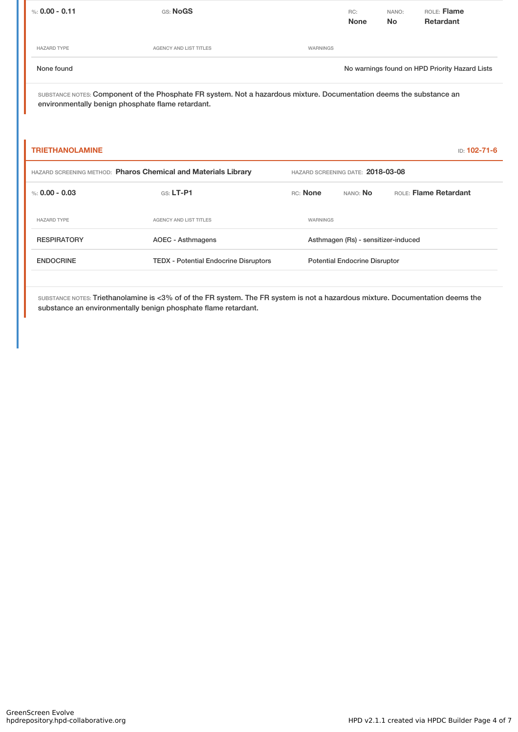| %: $0.00 - 0.11$       | GS: NoGS                                                                                                                                                                  |                                   | RC:<br><b>None</b>                   | NANO:<br><b>No</b> | ROLE: Flame<br><b>Retardant</b>                |
|------------------------|---------------------------------------------------------------------------------------------------------------------------------------------------------------------------|-----------------------------------|--------------------------------------|--------------------|------------------------------------------------|
| <b>HAZARD TYPE</b>     | <b>AGENCY AND LIST TITLES</b>                                                                                                                                             | WARNINGS                          |                                      |                    |                                                |
| None found             |                                                                                                                                                                           |                                   |                                      |                    | No warnings found on HPD Priority Hazard Lists |
|                        | SUBSTANCE NOTES: Component of the Phosphate FR system. Not a hazardous mixture. Documentation deems the substance an<br>environmentally benign phosphate flame retardant. |                                   |                                      |                    |                                                |
| <b>TRIETHANOLAMINE</b> |                                                                                                                                                                           |                                   |                                      |                    | ID: 102-71-6                                   |
|                        | HAZARD SCREENING METHOD: Pharos Chemical and Materials Library                                                                                                            | HAZARD SCREENING DATE: 2018-03-08 |                                      |                    |                                                |
| %: $0.00 - 0.03$       | $GS: LT-P1$                                                                                                                                                               | RC: None                          | NANO: No                             |                    | ROLE: Flame Retardant                          |
| <b>HAZARD TYPE</b>     | <b>AGENCY AND LIST TITLES</b>                                                                                                                                             | WARNINGS                          |                                      |                    |                                                |
| <b>RESPIRATORY</b>     | <b>AOEC - Asthmagens</b>                                                                                                                                                  |                                   | Asthmagen (Rs) - sensitizer-induced  |                    |                                                |
| <b>ENDOCRINE</b>       | <b>TEDX - Potential Endocrine Disruptors</b>                                                                                                                              |                                   | <b>Potential Endocrine Disruptor</b> |                    |                                                |
|                        |                                                                                                                                                                           |                                   |                                      |                    |                                                |

SUBSTANCE NOTES: Triethanolamine is <3% of of the FR system. The FR system is not a hazardous mixture. Documentation deems the substance an environmentally benign phosphate flame retardant.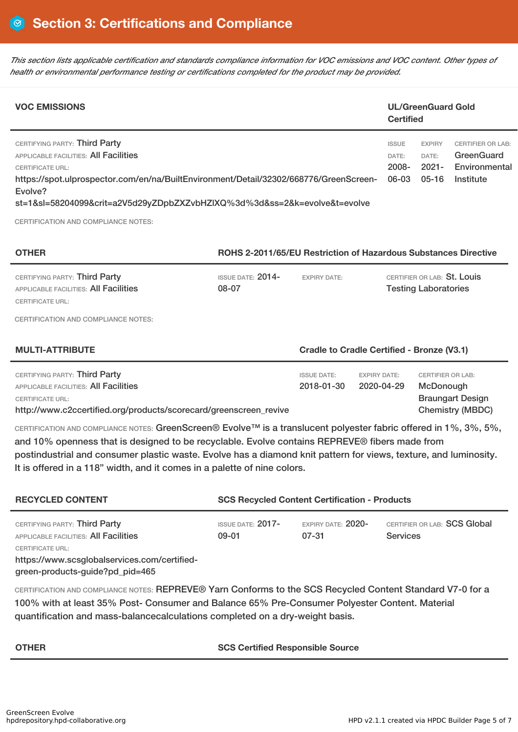This section lists applicable certification and standards compliance information for VOC emissions and VOC content. Other types of *health or environmental performance testing or certifications completed for the product may be provided.*

| <b>VOC EMISSIONS</b>                                                                                                                                                                                                                                                               | <b>Certified</b>                        | <b>UL/GreenGuard Gold</b>                  |                                                                      |
|------------------------------------------------------------------------------------------------------------------------------------------------------------------------------------------------------------------------------------------------------------------------------------|-----------------------------------------|--------------------------------------------|----------------------------------------------------------------------|
| CERTIFYING PARTY: Third Party<br>APPLICABLE FACILITIES: All Facilities<br><b>CERTIFICATE URL:</b><br>https://spot.ulprospector.com/en/na/BuiltEnvironment/Detail/32302/668776/GreenScreen-<br>Evolve?<br>st=1&sl=58204099&crit=a2V5d29yZDpbZXZvbHZIXQ%3d%3d&ss=2&k=evolve&t=evolve | <b>ISSUE</b><br>DATE:<br>2008-<br>06-03 | <b>EXPIRY</b><br>DATE:<br>2021-<br>$05-16$ | <b>CERTIFIER OR LAB:</b><br>GreenGuard<br>Environmental<br>Institute |
| <b>CERTIFICATION AND COMPLIANCE NOTES:</b>                                                                                                                                                                                                                                         |                                         |                                            |                                                                      |

| <b>OTHER</b>                                                                                      | ROHS 2-2011/65/EU Restriction of Hazardous Substances Directive |                     |                                                            |  |
|---------------------------------------------------------------------------------------------------|-----------------------------------------------------------------|---------------------|------------------------------------------------------------|--|
| CERTIFYING PARTY: Third Party<br><b>APPLICABLE FACILITIES: All Facilities</b><br>CERTIFICATE URL: | ISSUE DATE: $2014-$<br>08-07                                    | <b>EXPIRY DATE:</b> | CERTIFIER OR LAB: St. Louis<br><b>Testing Laboratories</b> |  |
| CERTIFICATION AND COMPLIANCE NOTES:                                                               |                                                                 |                     |                                                            |  |

| CERTIFYING PARTY: Third Party<br>APPLICABLE FACILITIES: <b>All Facilities</b>         | <b>ISSUE DATE:</b><br>2018-01-30 | EXPIRY DATE:<br>2020-04-29 | CERTIFIER OR LAB:<br>McDonough              |
|---------------------------------------------------------------------------------------|----------------------------------|----------------------------|---------------------------------------------|
| CERTIFICATE URL:<br>http://www.c2ccertified.org/products/scorecard/greenscreen revive |                                  |                            | <b>Braungart Design</b><br>Chemistry (MBDC) |
|                                                                                       |                                  |                            |                                             |

**MULTI-ATTRIBUTE Cradle to Cradle Certified - Bronze (V3.1)**

CERTIFICATION AND COMPLIANCE NOTES: GreenScreen® Evolve™ is a translucent polyester fabric offered in 1%, 3%, 5%, and 10% openness that is designed to be recyclable. Evolve contains REPREVE® fibers made from postindustrial and consumer plastic waste. Evolve has a diamond knit pattern for views, texture, and luminosity. It is offered in a 118" width, and it comes in a palette of nine colors.

| <b>RECYCLED CONTENT</b>                                                                                                                                                       | <b>SCS Recycled Content Certification - Products</b> |                             |                                                 |  |
|-------------------------------------------------------------------------------------------------------------------------------------------------------------------------------|------------------------------------------------------|-----------------------------|-------------------------------------------------|--|
| CERTIFYING PARTY: Third Party<br>APPLICABLE FACILITIES: All Facilities<br>CERTIFICATE URL:<br>https://www.scsglobalservices.com/certified-<br>green-products-guide?pd_pid=465 | <b>ISSUE DATE: 2017-</b><br>09-01                    | EXPIRY DATE: 2020-<br>07-31 | CERTIFIER OR LAB: SCS Global<br><b>Services</b> |  |

CERTIFICATION AND COMPLIANCE NOTES: REPREVE® Yarn Conforms to the SCS Recycled Content Standard V7-0 for a 100% with at least 35% Post- Consumer and Balance 65% Pre-Consumer Polyester Content. Material quantification and mass-balancecalculations completed on a dry-weight basis.

### **OTHER SCS Certified Responsible Source**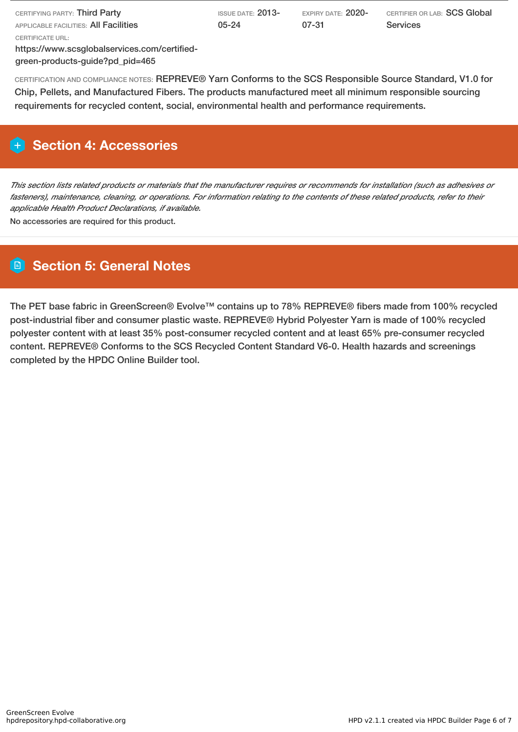| CERTIFYING PARTY: <b>Third Party</b>         | ISSUE DATE: $2013$ - | expiry date: $2020$ - | CERTIFIER OR LAB: SCS Global |  |  |
|----------------------------------------------|----------------------|-----------------------|------------------------------|--|--|
| APPLICABLE FACILITIES: <b>AII Facilities</b> | $05 - 24$            | 07-31                 | <b>Services</b>              |  |  |
| CERTIFICATE URL:                             |                      |                       |                              |  |  |
| https://www.scsglobalservices.com/certified- |                      |                       |                              |  |  |

green-products-guide?pd\_pid=465

CERTIFICATION AND COMPLIANCE NOTES: REPREVE® Yarn Conforms to the SCS Responsible Source Standard, V1.0 for Chip, Pellets, and Manufactured Fibers. The products manufactured meet all minimum responsible sourcing requirements for recycled content, social, environmental health and performance requirements.

# **Section 4: Accessories**

This section lists related products or materials that the manufacturer requires or recommends for installation (such as adhesives or fasteners), maintenance, cleaning, or operations. For information relating to the contents of these related products, refer to their *applicable Health Product Declarations, if available.*

No accessories are required for this product.

# **Section 5: General Notes**

The PET base fabric in GreenScreen® Evolve™ contains up to 78% REPREVE® fibers made from 100% recycled post-industrial fiber and consumer plastic waste. REPREVE® Hybrid Polyester Yarn is made of 100% recycled polyester content with at least 35% post-consumer recycled content and at least 65% pre-consumer recycled content. REPREVE® Conforms to the SCS Recycled Content Standard V6-0. Health hazards and screenings completed by the HPDC Online Builder tool.